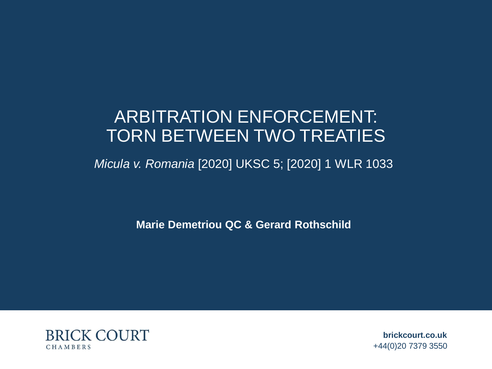### ARBITRATION ENFORCEMENT: TORN BETWEEN TWO TREATIES

### *Micula v. Romania* [2020] UKSC 5; [2020] 1 WLR 1033

**Marie Demetriou QC & Gerard Rothschild**



**brickcourt.co.uk**  +44(0)20 7379 3550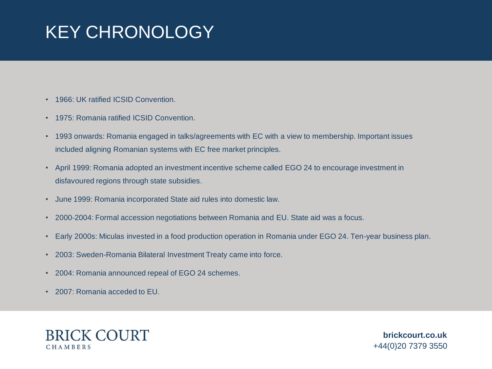## KEY CHRONOLOGY

- 1966: UK ratified ICSID Convention.
- 1975: Romania ratified ICSID Convention.
- 1993 onwards: Romania engaged in talks/agreements with EC with a view to membership. Important issues included aligning Romanian systems with EC free market principles.
- April 1999: Romania adopted an investment incentive scheme called EGO 24 to encourage investment in disfavoured regions through state subsidies.
- June 1999: Romania incorporated State aid rules into domestic law.
- 2000-2004: Formal accession negotiations between Romania and EU. State aid was a focus.
- Early 2000s: Miculas invested in a food production operation in Romania under EGO 24. Ten-year business plan.
- 2003: Sweden-Romania Bilateral Investment Treaty came into force.
- 2004: Romania announced repeal of EGO 24 schemes.
- 2007: Romania acceded to EU.

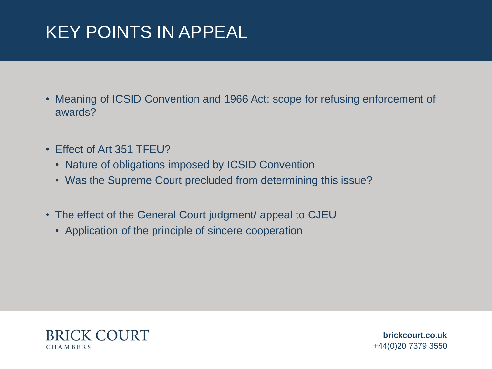## KEY POINTS IN APPEAL

- Meaning of ICSID Convention and 1966 Act: scope for refusing enforcement of awards?
- Effect of Art 351 TFEU?
	- Nature of obligations imposed by ICSID Convention
	- Was the Supreme Court precluded from determining this issue?
- The effect of the General Court judgment/ appeal to CJEU
	- Application of the principle of sincere cooperation

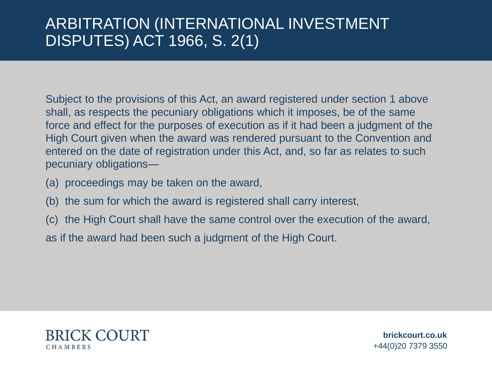### ARBITRATION (INTERNATIONAL INVESTMENT DISPUTES) ACT 1966, S. 2(1)

Subject to the provisions of this Act, an award registered under section 1 above shall, as respects the pecuniary obligations which it imposes, be of the same force and effect for the purposes of execution as if it had been a judgment of the High Court given when the award was rendered pursuant to the Convention and entered on the date of registration under this Act, and, so far as relates to such pecuniary obligations—

- (a) proceedings may be taken on the award,
- (b) the sum for which the award is registered shall carry interest,
- (c) the High Court shall have the same control over the execution of the award,

as if the award had been such a judgment of the High Court.

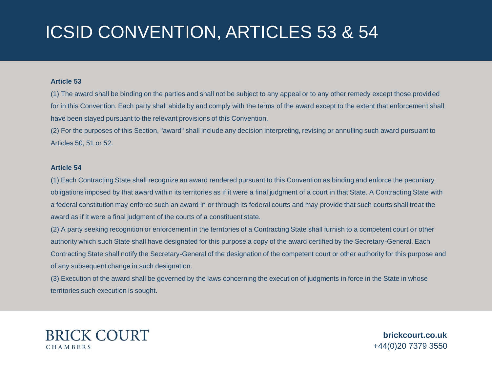## ICSID CONVENTION, ARTICLES 53 & 54

#### **Article 53**

(1) The award shall be binding on the parties and shall not be subject to any appeal or to any other remedy except those provided for in this Convention. Each party shall abide by and comply with the terms of the award except to the extent that enforcement shall have been stayed pursuant to the relevant provisions of this Convention.

(2) For the purposes of this Section, "award" shall include any decision interpreting, revising or annulling such award pursuant to Articles 50, 51 or 52.

#### **Article 54**

(1) Each Contracting State shall recognize an award rendered pursuant to this Convention as binding and enforce the pecuniary obligations imposed by that award within its territories as if it were a final judgment of a court in that State. A Contracting State with a federal constitution may enforce such an award in or through its federal courts and may provide that such courts shall treat the award as if it were a final judgment of the courts of a constituent state.

(2) A party seeking recognition or enforcement in the territories of a Contracting State shall furnish to a competent court or other authority which such State shall have designated for this purpose a copy of the award certified by the Secretary-General. Each Contracting State shall notify the Secretary-General of the designation of the competent court or other authority for this purpose and of any subsequent change in such designation.

(3) Execution of the award shall be governed by the laws concerning the execution of judgments in force in the State in whose territories such execution is sought.

#### **BRICK COURT** CHAMBERS

**brickcourt.co.uk**  +44(0)20 7379 3550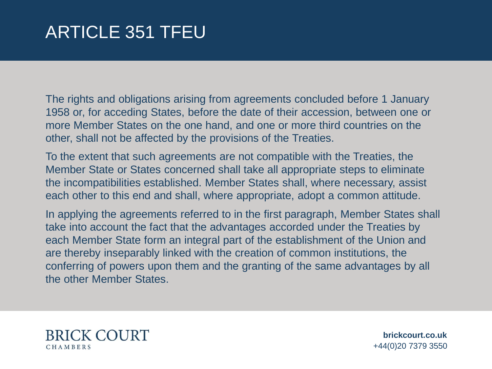### ARTICLE 351 TFEU

The rights and obligations arising from agreements concluded before 1 January 1958 or, for acceding States, before the date of their accession, between one or more Member States on the one hand, and one or more third countries on the other, shall not be affected by the provisions of the Treaties.

To the extent that such agreements are not compatible with the Treaties, the Member State or States concerned shall take all appropriate steps to eliminate the incompatibilities established. Member States shall, where necessary, assist each other to this end and shall, where appropriate, adopt a common attitude.

In applying the agreements referred to in the first paragraph, Member States shall take into account the fact that the advantages accorded under the Treaties by each Member State form an integral part of the establishment of the Union and are thereby inseparably linked with the creation of common institutions, the conferring of powers upon them and the granting of the same advantages by all the other Member States.



**brickcourt.co.uk**  +44(0)20 7379 3550